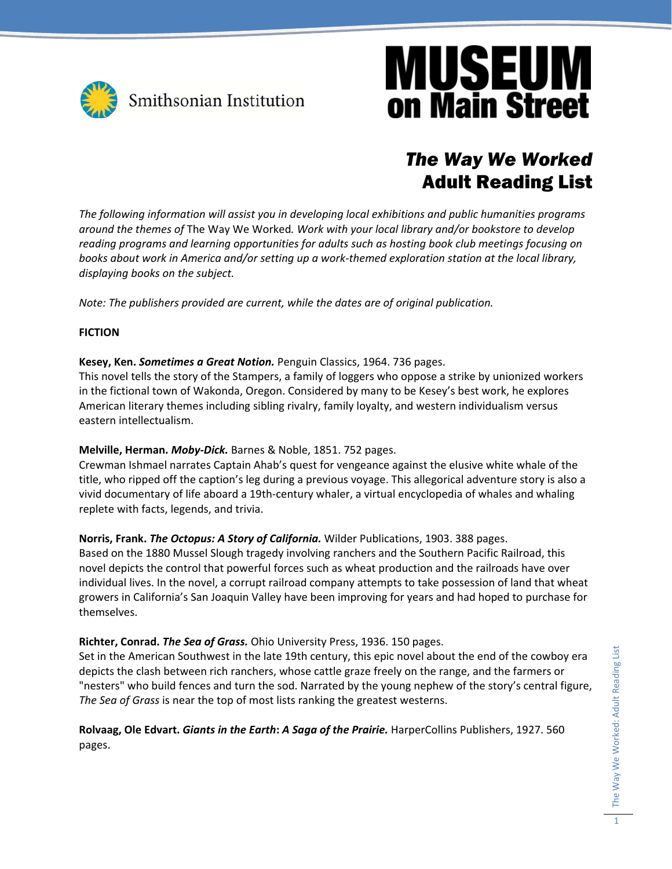

### *The Way We Worked*  Adult Reading List

*The following information will assist you in developing local exhibitions and public humanities programs around the themes of* The Way We Worked*. Work with your local library and/or bookstore to develop reading programs and learning opportunities for adults such as hosting book club meetings focusing on* books about work in America and/or setting up a work-themed exploration station at the local library, *displaying books on the subject.* 

*Note: The publishers provided are current, while the dates are of original publication.*

#### **FICTION**

**Kesey, Ken.** *Sometimes a Great Notion.* Penguin Classics, 1964. 736 pages.

This novel tells the story of the Stampers, a family of loggers who oppose a strike by unionized workers in the fictional town of Wakonda, Oregon. Considered by many to be Kesey's best work, he explores American literary themes including sibling rivalry, family loyalty, and western individualism versus eastern intellectualism.

#### **Melville, Herman.** *Moby‐Dick.* Barnes & Noble, 1851. 752 pages.

Crewman Ishmael narrates Captain Ahab's quest for vengeance against the elusive white whale of the title, who ripped off the caption's leg during a previous voyage. This allegorical adventure story is also a vivid documentary of life aboard a 19th‐century whaler, a virtual encyclopedia of whales and whaling replete with facts, legends, and trivia.

**Norris, Frank.** *The Octopus: A Story of California.* Wilder Publications, 1903. 388 pages.

Based on the 1880 Mussel Slough tragedy involving ranchers and the Southern Pacific Railroad, this novel depicts the control that powerful forces such as wheat production and the railroads have over individual lives. In the novel, a corrupt railroad company attempts to take possession of land that wheat growers in California's San Joaquin Valley have been improving for years and had hoped to purchase for themselves.

#### **Richter, Conrad.** *The Sea of Grass.* Ohio University Press, 1936. 150 pages.

Set in the American Southwest in the late 19th century, this epic novel about the end of the cowboy era depicts the clash between rich ranchers, whose cattle graze freely on the range, and the farmers or "nesters" who build fences and turn the sod. Narrated by the young nephew of the story's central figure, *The Sea of Grass* is near the top of most lists ranking the greatest westerns.

**Rolvaag, Ole Edvart.** *Giants in the Earth***:** *A Saga of the Prairie.* HarperCollins Publishers, 1927. 560 pages.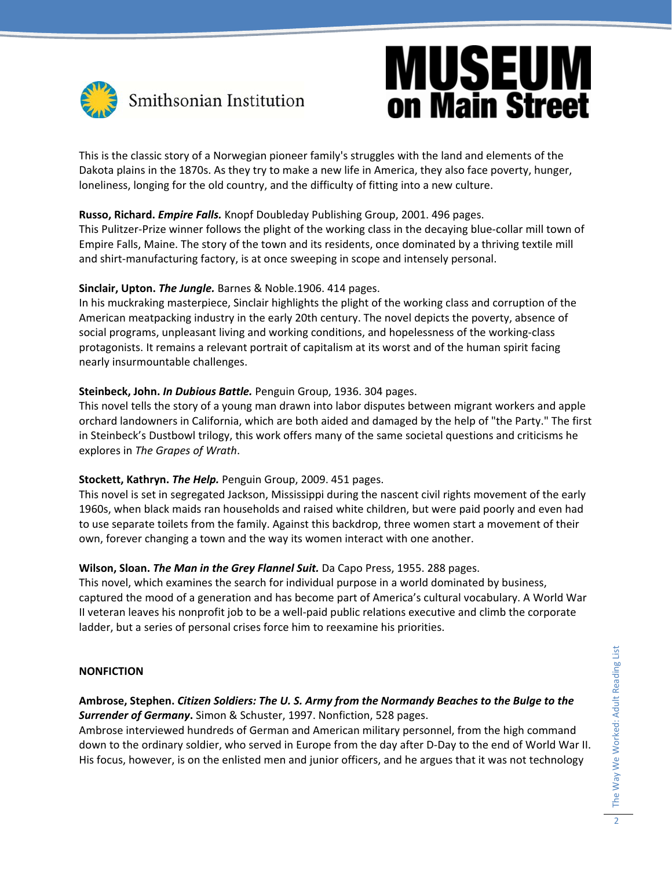

This is the classic story of a Norwegian pioneer family's struggles with the land and elements of the Dakota plains in the 1870s. As they try to make a new life in America, they also face poverty, hunger, loneliness, longing for the old country, and the difficulty of fitting into a new culture.

#### **Russo, Richard.** *Empire Falls.* Knopf Doubleday Publishing Group, 2001. 496 pages.

This Pulitzer‐Prize winner follows the plight of the working class in the decaying blue‐collar mill town of Empire Falls, Maine. The story of the town and its residents, once dominated by a thriving textile mill and shirt-manufacturing factory, is at once sweeping in scope and intensely personal.

#### **Sinclair, Upton.** *The Jungle.* Barnes & Noble.1906. 414 pages.

In his muckraking masterpiece, Sinclair highlights the plight of the working class and corruption of the American meatpacking industry in the early 20th century. The novel depicts the poverty, absence of social programs, unpleasant living and working conditions, and hopelessness of the working‐class protagonists. It remains a relevant portrait of capitalism at its worst and of the human spirit facing nearly insurmountable challenges.

#### **Steinbeck, John.** *In Dubious Battle.* Penguin Group, 1936. 304 pages.

This novel tells the story of a young man drawn into labor disputes between migrant workers and apple orchard landowners in California, which are both aided and damaged by the help of "the Party." The first in Steinbeck's Dustbowl trilogy, this work offers many of the same societal questions and criticisms he explores in *The Grapes of Wrath*.

#### **Stockett, Kathryn.** *The Help.* Penguin Group, 2009. 451 pages.

This novel is set in segregated Jackson, Mississippi during the nascent civil rights movement of the early 1960s, when black maids ran households and raised white children, but were paid poorly and even had to use separate toilets from the family. Against this backdrop, three women start a movement of their own, forever changing a town and the way its women interact with one another.

#### **Wilson, Sloan.** *The Man in the Grey Flannel Suit.* Da Capo Press, 1955. 288 pages.

This novel, which examines the search for individual purpose in a world dominated by business, captured the mood of a generation and has become part of America's cultural vocabulary. A World War II veteran leaves his nonprofit job to be a well‐paid public relations executive and climb the corporate ladder, but a series of personal crises force him to reexamine his priorities.

#### **NONFICTION**

#### **Ambrose, Stephen.** *Citizen Soldiers: The U. S. Army from the Normandy Beaches to the Bulge to the Surrender of Germany***.** Simon & Schuster, 1997. Nonfiction, 528 pages.

Ambrose interviewed hundreds of German and American military personnel, from the high command down to the ordinary soldier, who served in Europe from the day after D‐Day to the end of World War II. His focus, however, is on the enlisted men and junior officers, and he argues that it was not technology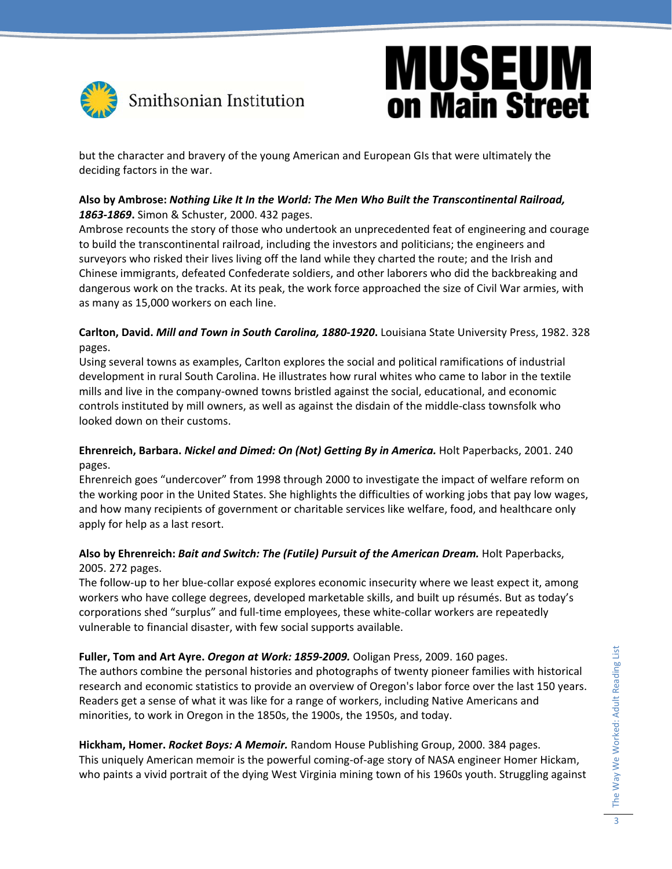

but the character and bravery of the young American and European GIs that were ultimately the deciding factors in the war.

#### **Also by Ambrose:** *Nothing Like It In the World: The Men Who Built the Transcontinental Railroad, 1863‐1869***.** Simon & Schuster, 2000. 432 pages.

Ambrose recounts the story of those who undertook an unprecedented feat of engineering and courage to build the transcontinental railroad, including the investors and politicians; the engineers and surveyors who risked their lives living off the land while they charted the route; and the Irish and Chinese immigrants, defeated Confederate soldiers, and other laborers who did the backbreaking and dangerous work on the tracks. At its peak, the work force approached the size of Civil War armies, with as many as 15,000 workers on each line.

#### **Carlton, David.** *Mill and Town in South Carolina, 1880‐1920***.** Louisiana State University Press, 1982. 328 pages.

Using several towns as examples, Carlton explores the social and political ramifications of industrial development in rural South Carolina. He illustrates how rural whites who came to labor in the textile mills and live in the company‐owned towns bristled against the social, educational, and economic controls instituted by mill owners, as well as against the disdain of the middle‐class townsfolk who looked down on their customs.

#### **Ehrenreich, Barbara.** *Nickel and Dimed: On (Not) Getting By in America.* Holt Paperbacks, 2001. 240 pages.

Ehrenreich goes "undercover" from 1998 through 2000 to investigate the impact of welfare reform on the working poor in the United States. She highlights the difficulties of working jobs that pay low wages, and how many recipients of government or charitable services like welfare, food, and healthcare only apply for help as a last resort.

#### **Also by Ehrenreich:** *Bait and Switch: The (Futile) Pursuit of the American Dream.* Holt Paperbacks, 2005. 272 pages.

The follow‐up to her blue‐collar exposé explores economic insecurity where we least expect it, among workers who have college degrees, developed marketable skills, and built up résumés. But as today's corporations shed "surplus" and full‐time employees, these white‐collar workers are repeatedly vulnerable to financial disaster, with few social supports available.

#### **Fuller, Tom and Art Ayre.** *Oregon at Work: 1859‐2009.* Ooligan Press, 2009. 160 pages.

The authors combine the personal histories and photographs of twenty pioneer families with historical research and economic statistics to provide an overview of Oregon's labor force over the last 150 years. Readers get a sense of what it was like for a range of workers, including Native Americans and minorities, to work in Oregon in the 1850s, the 1900s, the 1950s, and today.

#### **Hickham, Homer.** *Rocket Boys: A Memoir.* Random House Publishing Group, 2000. 384 pages. This uniquely American memoir is the powerful coming‐of‐age story of NASA engineer Homer Hickam, who paints a vivid portrait of the dying West Virginia mining town of his 1960s youth. Struggling against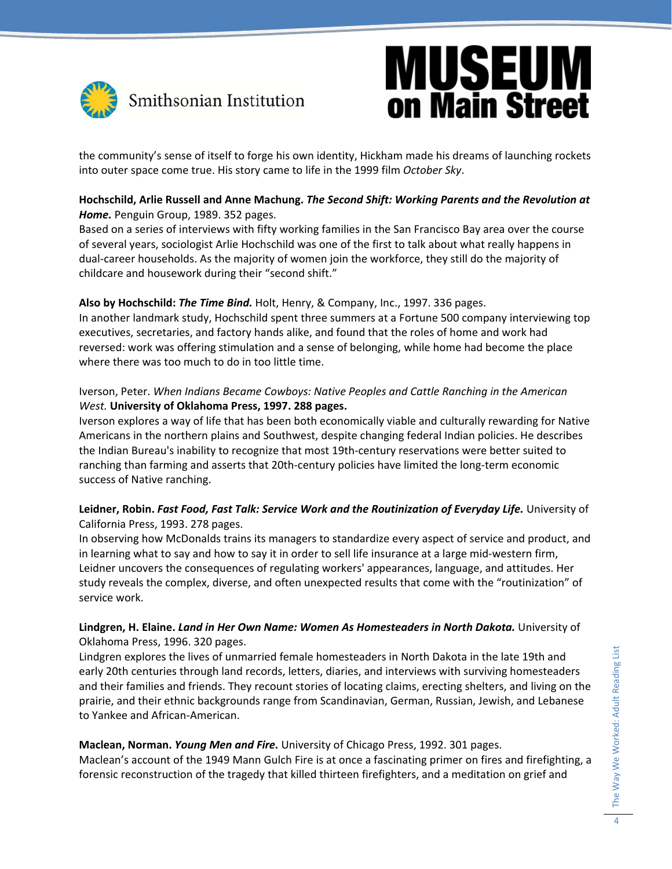

the community's sense of itself to forge his own identity, Hickham made his dreams of launching rockets into outer space come true. His story came to life in the 1999 film *October Sky*.

#### **Hochschild, Arlie Russell and Anne Machung.** *The Second Shift: Working Parents and the Revolution at Home.* Penguin Group, 1989. 352 pages.

Based on a series of interviews with fifty working families in the San Francisco Bay area over the course of several years, sociologist Arlie Hochschild was one of the first to talk about what really happens in dual‐career households. As the majority of women join the workforce, they still do the majority of childcare and housework during their "second shift."

#### **Also by Hochschild:** *The Time Bind.* Holt, Henry, & Company, Inc., 1997. 336 pages.

In another landmark study, Hochschild spent three summers at a Fortune 500 company interviewing top executives, secretaries, and factory hands alike, and found that the roles of home and work had reversed: work was offering stimulation and a sense of belonging, while home had become the place where there was too much to do in too little time.

#### Iverson, Peter. *When Indians Became Cowboys: Native Peoples and Cattle Ranching in the American West.* **University of Oklahoma Press, 1997. 288 pages.**

Iverson explores a way of life that has been both economically viable and culturally rewarding for Native Americans in the northern plains and Southwest, despite changing federal Indian policies. He describes the Indian Bureau's inability to recognize that most 19th‐century reservations were better suited to ranching than farming and asserts that 20th‐century policies have limited the long‐term economic success of Native ranching.

#### **Leidner, Robin.** *Fast Food, Fast Talk: Service Work and the Routinization of Everyday Life.* University of California Press, 1993. 278 pages.

In observing how McDonalds trains its managers to standardize every aspect of service and product, and in learning what to say and how to say it in order to sell life insurance at a large mid‐western firm, Leidner uncovers the consequences of regulating workers' appearances, language, and attitudes. Her study reveals the complex, diverse, and often unexpected results that come with the "routinization" of service work.

#### **Lindgren, H. Elaine.** *Land in Her Own Name: Women As Homesteaders in North Dakota.* University of Oklahoma Press, 1996. 320 pages.

Lindgren explores the lives of unmarried female homesteaders in North Dakota in the late 19th and early 20th centuries through land records, letters, diaries, and interviews with surviving homesteaders and their families and friends. They recount stories of locating claims, erecting shelters, and living on the prairie, and their ethnic backgrounds range from Scandinavian, German, Russian, Jewish, and Lebanese to Yankee and African‐American.

#### **Maclean, Norman.** *Young Men and Fire.* University of Chicago Press, 1992. 301 pages.

Maclean's account of the 1949 Mann Gulch Fire is at once a fascinating primer on fires and firefighting, a forensic reconstruction of the tragedy that killed thirteen firefighters, and a meditation on grief and